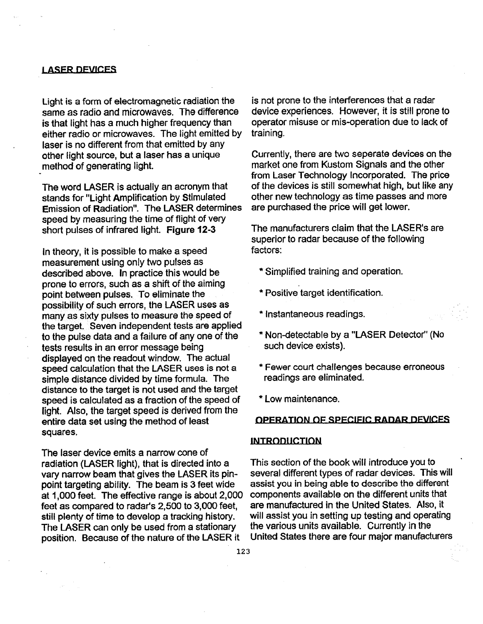## **LASER DEVICES**

Light is a form of electromagnetic radiation the same as radio and microwaves. The difference is that light has a much higher frequency than either radio or microwaves. The light emitted by laser is no different from that emitted by any other light source, but a laser has a unique method of generating light.

The word LASER is actually an acronym that stands for "Light Amplification by Stimulated Emission of Radiation". The LASER determines speed by measuring the time of flight of very short pulses of infrared light. Figure 12-3

In theory, it is possible to make a speed measurement using only fwo pulses as described above. In practice this would be prone to errors, such as a shift of the aiming point between pulses. To eliminate the possibility of such errors, the LASER uses as many as sixty pulses to measure the speed of the target. Seven independent tests are applied to the pulse data and a failure of any one of the tests results in an error message being displayed on the readout window. The actual speed calculation that the LASER uses is not a simple distance divided by time formula. The distance to the target is not used and the target speed is calculated as a fraction of the speed of light. Also, the target speed is derived from the entire data set using the method of least squares.

The laser device emits a narrow cone of radiation (LASER light), that is directed into a vary narrow beam that gives the LASER its pinpoint targeting ability. The beam is 3 feet wide at 1,000 feet. The effective range is about 2,000 feet as compared to radar's 2,500 to 3,000 feet, still plenty of time to develop a tracking history. The LASER can only be used from a stationary position. Because of the nature of the LASER it

is not prone to the interterences that a radar device experiences. However, it is still prone to operator misuse or mis-operation due to lack of training.

Currently, there are two seperafe devices on fhe market one from Kustom Signals and the other from Laser Technology Incorporated. The price of the devices is still somewhat high, but like any other new technology as time passes and more are purchased the price will get lower.

The manufacturers claim that the LASER's are superior to radar because of the following factors:

- \*Simplified training and operation.
- \* Positive target identification.
- \*Instantaneous readings.
- \* Non-detectable by a "LASER Detector" (No such device exists).
- \*Fewer court challenges because erroneous readings are eliminated.
- \* Low maintenance.

## **OPERATION OF SPECIFIC RADAR DEVICES**

## **INTRODUCTION**

This section of the book will introduce you to several different types of radar devices. This will assist you in being able to describe the different components available on the different units that are manufactured in the United States. Also, it will assist you in setting up testing and operating the various units available. Currently in the United States there are four major manu#acturers